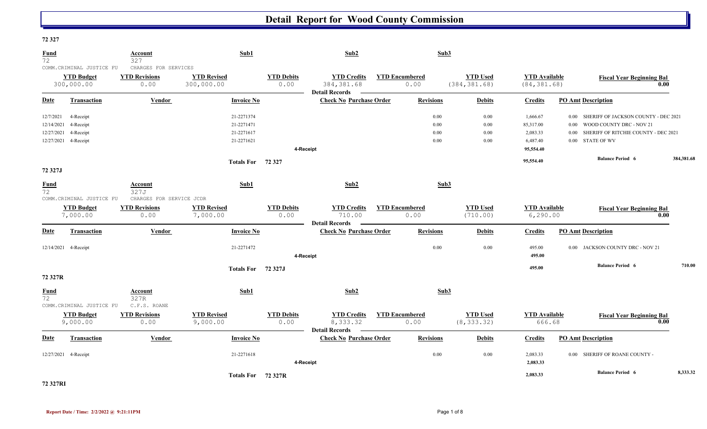#### **72 327**

| <b>Fund</b><br>72                     |                                                             | Account<br>327                                       | Sub1                                   |                           | Sub2                                                       |                               | Sub3                 |                                  |                                      |                                                                                                                                      |            |
|---------------------------------------|-------------------------------------------------------------|------------------------------------------------------|----------------------------------------|---------------------------|------------------------------------------------------------|-------------------------------|----------------------|----------------------------------|--------------------------------------|--------------------------------------------------------------------------------------------------------------------------------------|------------|
|                                       | COMM.CRIMINAL JUSTICE FU<br><b>YTD Budget</b><br>300,000.00 | CHARGES FOR SERVICES<br><b>YTD Revisions</b><br>0.00 | <b>YTD Revised</b><br>300,000.00       | <b>YTD Debits</b><br>0.00 | <b>YTD Credits</b><br>384, 381.68<br><b>Detail Records</b> | <b>YTD Encumbered</b><br>0.00 |                      | <b>YTD Used</b><br>(384, 381.68) | <b>YTD</b> Available<br>(84, 381.68) | <b>Fiscal Year Beginning Bal</b><br>0.00                                                                                             |            |
| <b>Date</b>                           | <b>Transaction</b>                                          | <b>Vendor</b>                                        | <b>Invoice No</b>                      |                           | <b>Check No Purchase Order</b>                             |                               | <b>Revisions</b>     | <b>Debits</b>                    | <b>Credits</b>                       | <b>PO Amt Description</b>                                                                                                            |            |
| 12/7/2021<br>12/14/2021<br>12/27/2021 | 4-Receipt<br>4-Receipt<br>4-Receipt                         |                                                      | 21-2271374<br>21-2271471<br>21-2271617 |                           |                                                            |                               | 0.00<br>0.00<br>0.00 | $0.00\,$<br>$0.00\,$<br>0.00     | 1,666.67<br>85,317.00<br>2,083.33    | SHERIFF OF JACKSON COUNTY - DEC 2021<br>$0.00\,$<br>WOOD COUNTY DRC - NOV 21<br>0.00<br>SHERIFF OF RITCHIE COUNTY - DEC 2021<br>0.00 |            |
|                                       | 12/27/2021 4-Receipt                                        |                                                      | 21-2271621                             | 4-Receipt                 |                                                            |                               | 0.00                 | 0.00                             | 6,487.40<br>95,554.40                | STATE OF WV<br>0.00                                                                                                                  |            |
| 72 327J                               |                                                             |                                                      | <b>Totals For</b>                      | 72 327                    |                                                            |                               |                      |                                  | 95,554.40                            | <b>Balance Period 6</b>                                                                                                              | 384,381.68 |
| Fund<br>72                            | COMM.CRIMINAL JUSTICE FU                                    | Account<br>327J<br>CHARGES FOR SERVICE JCDR          | Sub1                                   |                           | Sub2                                                       |                               | Sub3                 |                                  |                                      |                                                                                                                                      |            |
|                                       | <b>YTD Budget</b><br>7,000.00                               | <b>YTD Revisions</b><br>0.00                         | <b>YTD Revised</b><br>7,000.00         | <b>YTD Debits</b><br>0.00 | <b>YTD Credits</b><br>710.00<br><b>Detail Records</b>      | <b>YTD Encumbered</b><br>0.00 |                      | <b>YTD Used</b><br>(710.00)      | <b>YTD Available</b><br>6, 290.00    | <b>Fiscal Year Beginning Bal</b><br>0.00                                                                                             |            |
| Date                                  | Transaction                                                 | Vendor                                               | <b>Invoice No</b>                      |                           | <b>Check No Purchase Order</b>                             |                               | <b>Revisions</b>     | <b>Debits</b>                    | <b>Credits</b>                       | <b>PO Amt Description</b>                                                                                                            |            |
|                                       | 12/14/2021 4-Receipt                                        |                                                      | 21-2271472                             | 4-Receipt                 |                                                            |                               | 0.00                 | 0.00                             | 495.00<br>495.00                     | 0.00 JACKSON COUNTY DRC - NOV 21                                                                                                     |            |
| 72 327R                               |                                                             |                                                      | <b>Totals For</b>                      | 72 327J                   |                                                            |                               |                      |                                  | 495.00                               | <b>Balance Period 6</b>                                                                                                              | 710.00     |
| <b>Fund</b><br>72                     | COMM.CRIMINAL JUSTICE FU                                    | Account<br>327R<br>C.F.S. ROANE                      | Sub1                                   |                           | Sub2                                                       |                               | Sub3                 |                                  |                                      |                                                                                                                                      |            |
|                                       | <b>YTD Budget</b><br>9,000.00                               | <b>YTD Revisions</b><br>0.00                         | <b>YTD Revised</b><br>9,000.00         | <b>YTD Debits</b><br>0.00 | <b>YTD Credits</b><br>8,333.32<br><b>Detail Records</b>    | <b>YTD Encumbered</b><br>0.00 |                      | <b>YTD Used</b><br>(8, 333.32)   | <b>YTD</b> Available<br>666.68       | <b>Fiscal Year Beginning Bal</b><br>0.00                                                                                             |            |
| Date                                  | <b>Transaction</b>                                          | Vendor                                               | <b>Invoice No</b>                      |                           | <b>Check No Purchase Order</b>                             |                               | <b>Revisions</b>     | <b>Debits</b>                    | <b>Credits</b>                       | <b>PO Amt Description</b>                                                                                                            |            |
|                                       | 12/27/2021 4-Receipt                                        |                                                      | 21-2271618                             | 4-Receipt                 |                                                            |                               | 0.00                 | 0.00                             | 2,083.33<br>2,083.33                 | 0.00 SHERIFF OF ROANE COUNTY -                                                                                                       |            |
|                                       |                                                             |                                                      | Totals For 72 327R                     |                           |                                                            |                               |                      |                                  | 2,083.33                             | <b>Balance Period 6</b>                                                                                                              | 8,333.32   |

**72 327RI**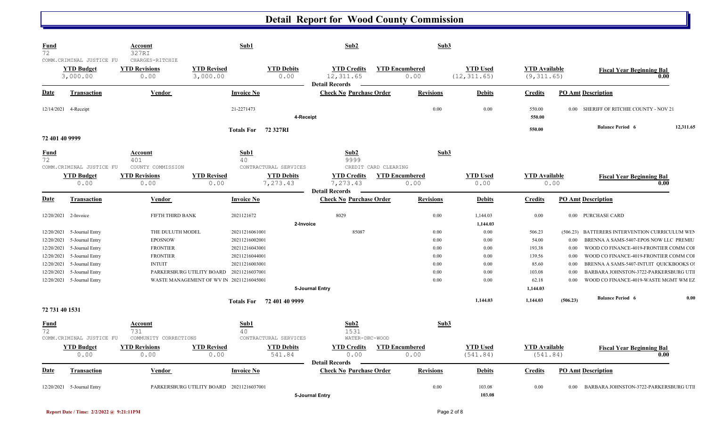| <b>Fund</b><br>72        |                                                           | Account<br>327RI                                |                                                                                      | Sub1                                | Sub2                                                      |                               | Sub3                 |                                 |                                     |                  |                                                                                  |                   |
|--------------------------|-----------------------------------------------------------|-------------------------------------------------|--------------------------------------------------------------------------------------|-------------------------------------|-----------------------------------------------------------|-------------------------------|----------------------|---------------------------------|-------------------------------------|------------------|----------------------------------------------------------------------------------|-------------------|
|                          | COMM.CRIMINAL JUSTICE FU<br><b>YTD Budget</b><br>3,000.00 | CHARGES-RITCHIE<br><b>YTD Revisions</b><br>0.00 | <b>YTD Revised</b><br>3,000.00                                                       | <b>YTD Debits</b><br>0.00           | <b>YTD Credits</b><br>12, 311.65<br><b>Detail Records</b> | <b>YTD Encumbered</b><br>0.00 |                      | <b>YTD Used</b><br>(12, 311.65) | <b>YTD</b> Available<br>(9, 311.65) |                  | <b>Fiscal Year Beginning Bal</b>                                                 | 0.00              |
| <u>Date</u>              | <b>Transaction</b>                                        | <b>Vendor</b>                                   |                                                                                      | <b>Invoice No</b>                   | <b>Check No Purchase Order</b>                            | <b>Revisions</b>              |                      | <b>Debits</b>                   | <b>Credits</b>                      |                  | <b>PO Amt Description</b>                                                        |                   |
|                          | 12/14/2021 4-Receipt                                      |                                                 |                                                                                      | 21-2271473<br>4-Receipt             |                                                           |                               | 0.00                 | 0.00                            | 550.00<br>550.00                    |                  | 0.00 SHERIFF OF RITCHIE COUNTY - NOV 21                                          |                   |
| 72 401 40 9999           |                                                           |                                                 |                                                                                      | Totals For 72 327RI                 |                                                           |                               |                      |                                 | 550.00                              |                  | <b>Balance Period 6</b>                                                          | 12,311.65         |
| <b>Fund</b><br>72        | COMM. CRIMINAL JUSTICE FU                                 | <b>Account</b><br>401<br>COUNTY COMMISSION      |                                                                                      | Sub1<br>40<br>CONTRACTURAL SERVICES | Sub2<br>9999                                              | CREDIT CARD CLEARING          | Sub3                 |                                 |                                     |                  |                                                                                  |                   |
|                          | <b>YTD Budget</b><br>0.00                                 | <b>YTD Revisions</b><br>0.00                    | <b>YTD Revised</b><br>0.00                                                           | <b>YTD Debits</b><br>7,273.43       | <b>YTD Credits</b><br>7,273.43<br><b>Detail Records</b>   | <b>YTD Encumbered</b><br>0.00 |                      | <b>YTD Used</b><br>0.00         | <b>YTD</b> Available<br>0.00        |                  | <b>Fiscal Year Beginning Bal</b>                                                 | 0.00              |
| <u>Date</u>              | Transaction                                               | Vendor                                          |                                                                                      | <b>Invoice No</b>                   | <b>Check No Purchase Order</b>                            | <b>Revisions</b>              |                      | <b>Debits</b>                   | <b>Credits</b>                      |                  | <b>PO Amt Description</b>                                                        |                   |
|                          | 12/20/2021 2-Invoice                                      | FIFTH THIRD BANK                                |                                                                                      | 2021121672<br>2-Invoice             | 8029                                                      |                               | 0.00                 | 1,144.03<br>1,144.03            | 0.00                                | 0.00             | PURCHASE CARD                                                                    |                   |
| 12/20/2021<br>12/20/2021 | 5-Journal Entry<br>5-Journal Entry                        | THE DULUTH MODEL<br><b>EPOSNOW</b>              |                                                                                      | 20211216061001<br>20211216002001    | 85087                                                     |                               | 0.00<br>$0.00\,$     | 0.00<br>0.00                    | 506.23<br>54.00                     | (506.23)<br>0.00 | BATTERERS INTERVENTION CURRICULUM WEN<br>BRENNA A SAMS-5407-EPOS NOW LLC PREMIU  |                   |
| 12/20/2021               | 5-Journal Entry<br>5-Journal Entry                        | <b>FRONTIER</b><br><b>FRONTIER</b>              |                                                                                      | 20211216043001                      |                                                           |                               | $0.00\,$<br>$0.00\,$ | 0.00<br>0.00                    | 193.38<br>139.56                    | 0.00<br>0.00     | WOOD CO FINANCE-4019-FRONTIER COMM COI                                           |                   |
| 12/20/2021<br>12/20/2021 | 5-Journal Entry                                           | <b>INTUIT</b>                                   |                                                                                      | 20211216044001<br>20211216003001    |                                                           |                               | 0.00                 | 0.00                            | 85.60                               | 0.00             | WOOD CO FINANCE-4019-FRONTIER COMM COI<br>BRENNA A SAMS-5407-INTUIT QUICKBOOKS O |                   |
| 12/20/2021               | 5-Journal Entry<br>12/20/2021 5-Journal Entry             |                                                 | PARKERSBURG UTILITY BOARD 20211216037001<br>WASTE MANAGEMENT OF WV IN 20211216045001 |                                     |                                                           |                               | 0.00<br>0.00         | 0.00<br>0.00                    | 103.08<br>62.18                     | 0.00<br>0.00     | BARBARA JOHNSTON-3722-PARKERSBURG UTI<br>WOOD CO FINANCE-4019-WASTE MGMT WM EZ   |                   |
|                          |                                                           |                                                 |                                                                                      | Totals For 72 401 40 9999           | 5-Journal Entry                                           |                               |                      | 1,144.03                        | 1,144.03<br>1,144.03                | (506.23)         | <b>Balance Period 6</b>                                                          | 0.00              |
| 72 731 40 1531           |                                                           |                                                 |                                                                                      |                                     |                                                           |                               |                      |                                 |                                     |                  |                                                                                  |                   |
| <u>Fund</u><br>72        | COMM.CRIMINAL JUSTICE FU                                  | <b>Account</b><br>731<br>COMMUNITY CORRECTIONS  |                                                                                      | Sub1<br>40<br>CONTRACTURAL SERVICES | Sub2<br>1531<br>WATER-DRC-WOOD                            |                               | Sub3                 |                                 |                                     |                  |                                                                                  |                   |
|                          | <b>YTD Budget</b><br>0.00                                 | <b>YTD Revisions</b><br>0.00                    | <b>YTD Revised</b><br>0.00                                                           | <b>YTD Debits</b><br>541.84         | <b>YTD</b> Credits<br>0.00                                | <b>YTD Encumbered</b><br>0.00 |                      | <b>YTD Used</b><br>(541.84)     | <b>YTD Available</b><br>(541.84)    |                  | <b>Fiscal Year Beginning Bal</b>                                                 | $\overline{0.00}$ |
| <u>Date</u>              | <b>Transaction</b>                                        | Vendor                                          |                                                                                      | <b>Invoice No</b>                   | <b>Detail Records</b><br><b>Check No Purchase Order</b>   | <b>Revisions</b>              |                      | <b>Debits</b>                   | <b>Credits</b>                      |                  | <b>PO Amt Description</b>                                                        |                   |
|                          | 12/20/2021 5-Journal Entry                                |                                                 | PARKERSBURG UTILITY BOARD 20211216037001                                             |                                     | 5-Journal Entry                                           |                               | 0.00                 | 103.08<br>103.08                | 0.00                                | $0.00\,$         | BARBARA JOHNSTON-3722-PARKERSBURG UTI                                            |                   |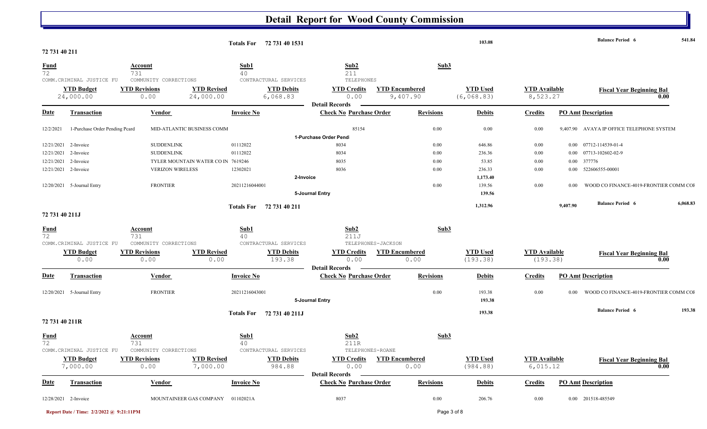|                   |                                |                                                                   |                                    | Totals For 72 731 40 1531     |                                                     |                                   |          | 103.08                         |                                  |          | <b>Balance Period 6</b>                   | 541.84   |
|-------------------|--------------------------------|-------------------------------------------------------------------|------------------------------------|-------------------------------|-----------------------------------------------------|-----------------------------------|----------|--------------------------------|----------------------------------|----------|-------------------------------------------|----------|
| 72 731 40 211     |                                |                                                                   |                                    |                               |                                                     |                                   |          |                                |                                  |          |                                           |          |
| <b>Fund</b><br>72 | COMM.CRIMINAL JUSTICE FU       | <b>Account</b><br>731<br>COMMUNITY CORRECTIONS                    | Sub1<br>40                         | CONTRACTURAL SERVICES         | Sub2<br>211<br>TELEPHONES                           |                                   | Sub3     |                                |                                  |          |                                           |          |
|                   | <b>YTD Budget</b><br>24,000.00 | <b>YTD Revisions</b><br>0.00                                      | <b>YTD Revised</b><br>24,000.00    | <b>YTD Debits</b><br>6,068.83 | <b>YTD Credits</b><br>0.00<br><b>Detail Records</b> | <b>YTD Encumbered</b><br>9,407.90 |          | <b>YTD Used</b><br>(6, 068.83) | <b>YTD</b> Available<br>8,523.27 |          | <b>Fiscal Year Beginning Bal</b><br>0.00  |          |
| <b>Date</b>       | <b>Transaction</b>             | Vendor                                                            | <b>Invoice No</b>                  |                               | <b>Check No Purchase Order</b>                      | <b>Revisions</b>                  |          | <b>Debits</b>                  | Credits                          |          | <b>PO Amt Description</b>                 |          |
| 12/2/2021         | 1-Purchase Order Pending Pcard | MID-ATLANTIC BUSINESS COMM                                        |                                    |                               | 85154                                               |                                   | 0.00     | 0.00                           | 0.00                             |          | 9,407.90 AVAYA IP OFFICE TELEPHONE SYSTEM |          |
|                   |                                |                                                                   |                                    |                               | 1-Purchase Order Pend                               |                                   |          |                                |                                  |          |                                           |          |
| 12/21/2021        | 2-Invoice                      | <b>SUDDENLINK</b>                                                 | 01112022                           |                               | 8034                                                |                                   | 0.00     | 646.86                         | 0.00                             |          | 0.00 07712-114539-01-4                    |          |
|                   | 12/21/2021 2-Invoice           | <b>SUDDENLINK</b>                                                 | 01112022                           |                               | 8034                                                |                                   | 0.00     | 236.36                         | $0.00\,$                         |          | 0.00 07713-102602-02-9                    |          |
|                   | 12/21/2021 2-Invoice           |                                                                   | TYLER MOUNTAIN WATER CO IN 7619246 |                               | 8035                                                |                                   | 0.00     | 53.85                          | $0.00\,$                         |          | 0.00 377776                               |          |
|                   | 12/21/2021 2-Invoice           | <b>VERIZON WIRELESS</b>                                           | 12302021                           |                               | 8036                                                |                                   | $0.00\,$ | 236.33                         | $0.00\,$                         |          | 0.00 522606555-00001                      |          |
|                   |                                |                                                                   |                                    | 2-Invoice                     |                                                     |                                   |          | 1,173.40                       |                                  |          |                                           |          |
|                   | 12/20/2021 5-Journal Entry     | <b>FRONTIER</b>                                                   | 20211216044001                     |                               |                                                     |                                   | 0.00     | 139.56                         | $0.00\,$                         | 0.00     | WOOD CO FINANCE-4019-FRONTIER COMM COI    |          |
|                   |                                |                                                                   |                                    |                               | 5-Journal Entry                                     |                                   |          | 139.56                         |                                  |          |                                           |          |
|                   |                                |                                                                   |                                    | Totals For 72 731 40 211      |                                                     |                                   |          | 1,312.96                       |                                  | 9,407.90 | <b>Balance Period 6</b>                   | 6,068.83 |
| 72 731 40 211J    |                                |                                                                   |                                    |                               |                                                     |                                   |          |                                |                                  |          |                                           |          |
| $\frac{Fund}{72}$ | COMM.CRIMINAL JUSTICE FU       | <b>Account</b><br>731<br>COMMUNITY CORRECTIONS                    | Sub1<br>40                         | CONTRACTURAL SERVICES         | Sub2<br>211J<br>TELEPHONES-JACKSON                  |                                   | Sub3     |                                |                                  |          |                                           |          |
|                   | <b>YTD Budget</b><br>0.00      | <b>YTD Revisions</b><br>0.00                                      | <b>YTD Revised</b><br>0.00         | <b>YTD Debits</b><br>193.38   | <b>YTD Credits</b><br>0.00<br><b>Detail Records</b> | <b>YTD Encumbered</b><br>0.00     |          | <b>YTD Used</b><br>(193.38)    | <b>YTD</b> Available<br>(193.38) |          | <b>Fiscal Year Beginning Bal</b><br>0.00  |          |
| <b>Date</b>       | Transaction                    | Vendor                                                            | <b>Invoice No</b>                  |                               | <b>Check No Purchase Order</b>                      | <b>Revisions</b>                  |          | <b>Debits</b>                  | <b>Credits</b>                   |          | <b>PO Amt Description</b>                 |          |
|                   | 12/20/2021 5-Journal Entry     | <b>FRONTIER</b>                                                   | 20211216043001                     |                               | 5-Journal Entry                                     |                                   | 0.00     | 193.38<br>193.38               | $0.00\,$                         | $0.00\,$ | WOOD CO FINANCE-4019-FRONTIER COMM COI    |          |
|                   |                                |                                                                   |                                    | Totals For 72 731 40 211J     |                                                     |                                   |          | 193.38                         |                                  |          | <b>Balance Period 6</b>                   | 193.38   |
| 72 731 40 211R    |                                |                                                                   |                                    |                               |                                                     |                                   |          |                                |                                  |          |                                           |          |
| <b>Fund</b><br>72 |                                | Account<br>731<br>COMM. CRIMINAL JUSTICE FU COMMUNITY CORRECTIONS | Sub1<br>40                         | CONTRACTURAL SERVICES         | Sub2<br>211R<br>TELEPHONES-ROANE                    |                                   | Sub3     |                                |                                  |          |                                           |          |
|                   | <b>YTD Budget</b>              | <b>YTD Revisions</b>                                              | <b>YTD Revised</b>                 | <b>YTD Debits</b>             |                                                     | <b>YTD Credits YTD Encumbered</b> |          | <b>YTD Used</b>                | <b>YTD</b> Available             |          | <b>Fiscal Year Beginning Bal</b>          |          |
|                   | 7,000.00                       | 0.00                                                              | 7,000.00                           | 984.88                        | 0.00<br><b>Detail Records</b>                       | 0.00                              |          | (984.88)                       | 6,015.12                         |          | 0.00                                      |          |
| <b>Date</b>       | Transaction                    | <b>Vendor</b>                                                     | <b>Invoice No</b>                  |                               | <b>Check No Purchase Order</b>                      | <b>Revisions</b>                  |          | <b>Debits</b>                  | <b>Credits</b>                   |          | <b>PO Amt Description</b>                 |          |
|                   |                                |                                                                   |                                    |                               |                                                     |                                   |          |                                |                                  |          |                                           |          |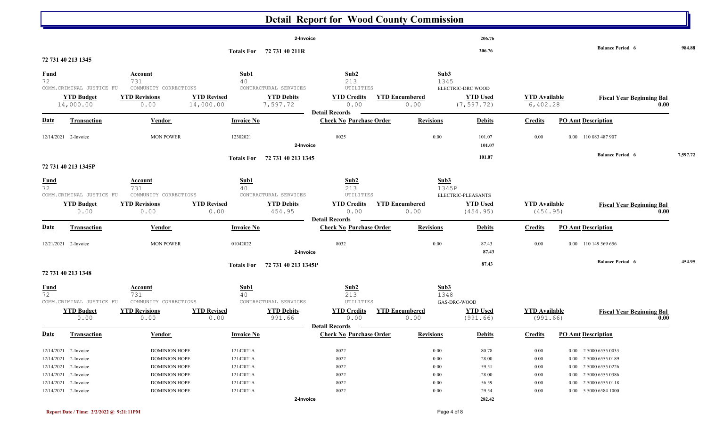|                      |                                |                              |                                 |                               | <b>Detail Report for Wood County Commission</b>         |                               |                           |                                |                                  |                           |                                  |          |
|----------------------|--------------------------------|------------------------------|---------------------------------|-------------------------------|---------------------------------------------------------|-------------------------------|---------------------------|--------------------------------|----------------------------------|---------------------------|----------------------------------|----------|
|                      |                                |                              |                                 | 2-Invoice                     |                                                         |                               |                           | 206.76                         |                                  |                           |                                  |          |
|                      |                                |                              |                                 | Totals For 72 731 40 211R     |                                                         |                               |                           | 206.76                         |                                  |                           | <b>Balance Period 6</b>          | 984.88   |
|                      | 72 731 40 213 1345             |                              |                                 |                               |                                                         |                               |                           |                                |                                  |                           |                                  |          |
| $\frac{Fund}{72}$    |                                | <b>Account</b><br>731        | Sub1<br>40                      |                               | Sub2<br>213                                             |                               | Sub3<br>1345              |                                |                                  |                           |                                  |          |
|                      | COMM.CRIMINAL JUSTICE FU       | COMMUNITY CORRECTIONS        |                                 | CONTRACTURAL SERVICES         | UTILITIES                                               |                               |                           | ELECTRIC-DRC WOOD              |                                  |                           |                                  |          |
|                      | <b>YTD Budget</b><br>14,000.00 | <b>YTD Revisions</b><br>0.00 | <b>YTD Revised</b><br>14,000.00 | <b>YTD Debits</b><br>7,597.72 | <b>YTD Credits</b><br>0.00                              | <b>YTD Encumbered</b><br>0.00 |                           | <b>YTD Used</b><br>(7, 597.72) | <b>YTD</b> Available<br>6,402.28 |                           | <b>Fiscal Year Beginning Bal</b> | 0.00     |
|                      |                                |                              |                                 |                               | <b>Detail Records</b>                                   |                               |                           |                                |                                  |                           |                                  |          |
| <b>Date</b>          | <b>Transaction</b>             | Vendor                       | <b>Invoice No</b>               |                               | <b>Check No Purchase Order</b>                          |                               | <b>Revisions</b>          | <b>Debits</b>                  | <b>Credits</b>                   | <b>PO Amt Description</b> |                                  |          |
|                      | 12/14/2021 2-Invoice           | <b>MON POWER</b>             | 12302021                        | 2-Invoice                     | 8025                                                    |                               | 0.00                      | 101.07<br>101.07               | 0.00                             |                           | 0.00 110 083 487 907             |          |
|                      | 72 731 40 213 1345P            |                              | <b>Totals For</b>               | 72 731 40 213 1345            |                                                         |                               |                           | 101.07                         |                                  |                           | <b>Balance Period 6</b>          | 7,597.72 |
|                      |                                |                              |                                 |                               |                                                         |                               |                           |                                |                                  |                           |                                  |          |
| $\frac{Fund}{72}$    |                                | <b>Account</b><br>731        | Sub1<br>40                      |                               | Sub <sub>2</sub><br>213                                 |                               | Sub <sub>3</sub><br>1345P |                                |                                  |                           |                                  |          |
|                      | COMM.CRIMINAL JUSTICE FU       | COMMUNITY CORRECTIONS        |                                 | CONTRACTURAL SERVICES         | UTILITIES                                               |                               |                           | ELECTRIC-PLEASANTS             |                                  |                           |                                  |          |
|                      | <b>YTD Budget</b>              | <b>YTD Revisions</b>         | <b>YTD Revised</b>              | <b>YTD Debits</b>             | <b>YTD Credits</b>                                      | <b>YTD Encumbered</b>         |                           | <b>YTD Used</b>                | <b>YTD</b> Available             |                           | <b>Fiscal Year Beginning Bal</b> |          |
|                      | 0.00                           | 0.00                         | 0.00                            | 454.95                        | 0.00                                                    | 0.00                          |                           | (454.95)                       | (454.95)                         |                           |                                  | 0.00     |
| <b>Date</b>          | Transaction                    | Vendor                       | <b>Invoice No</b>               |                               | <b>Detail Records</b><br><b>Check No Purchase Order</b> |                               | <b>Revisions</b>          | <b>Debits</b>                  | <b>Credits</b>                   | <b>PO Amt Description</b> |                                  |          |
| 12/21/2021 2-Invoice |                                | <b>MON POWER</b>             | 01042022                        |                               | 8032                                                    |                               | 0.00                      | 87.43                          | 0.00                             |                           | 0.00 110 149 569 656             |          |
|                      |                                |                              |                                 | 2-Invoice                     |                                                         |                               |                           | 87.43                          |                                  |                           |                                  |          |
|                      |                                |                              | <b>Totals For</b>               | 72 731 40 213 1345P           |                                                         |                               |                           | 87.43                          |                                  |                           | <b>Balance Period 6</b>          | 454.95   |
|                      | 72 731 40 213 1348             |                              |                                 |                               |                                                         |                               |                           |                                |                                  |                           |                                  |          |
| $\frac{Fund}{72}$    |                                | Account                      | Sub1                            |                               | Sub2                                                    |                               | Sub3                      |                                |                                  |                           |                                  |          |
|                      | COMM.CRIMINAL JUSTICE FU       | 731<br>COMMUNITY CORRECTIONS | 40                              | CONTRACTURAL SERVICES         | 213<br>UTILITIES                                        |                               | 1348<br>GAS-DRC-WOOD      |                                |                                  |                           |                                  |          |
|                      | <b>YTD Budget</b>              | <b>YTD Revisions</b>         | <b>YTD Revised</b>              | <b>YTD Debits</b>             | <b>YTD Credits</b>                                      | <b>YTD Encumbered</b>         |                           | <b>YTD Used</b>                | <b>YTD</b> Available             |                           | <b>Fiscal Year Beginning Bal</b> |          |
|                      | 0.00                           | 0.00                         | 0.00                            | 991.66                        | 0.00                                                    | 0.00                          |                           | (991.66)                       | (991.66)                         |                           |                                  | 0.00     |
|                      |                                |                              |                                 |                               | <b>Detail Records</b>                                   |                               |                           |                                |                                  |                           |                                  |          |
| <u>Date</u>          | <b>Transaction</b>             | <b>Vendor</b>                | <b>Invoice No</b>               |                               | <b>Check No Purchase Order</b>                          |                               | <b>Revisions</b>          | <b>Debits</b>                  | <b>Credits</b>                   | <b>PO Amt Description</b> |                                  |          |
|                      | 12/14/2021 2-Invoice           | <b>DOMINION HOPE</b>         | 12142021A                       |                               | 8022                                                    |                               | 0.00                      | 80.78                          | 0.00                             |                           | 0.00 2 5000 6555 0033            |          |
|                      | 12/14/2021 2-Invoice           | <b>DOMINION HOPE</b>         | 12142021A                       |                               | 8022                                                    |                               | 0.00                      | 28.00                          | 0.00                             |                           | 0.00 2 5000 6555 0189            |          |
|                      | 12/14/2021 2-Invoice           | <b>DOMINION HOPE</b>         | 12142021A                       |                               | 8022                                                    |                               | 0.00                      | 59.51                          | 0.00                             |                           | 0.00 2 5000 6555 0226            |          |
|                      | 12/14/2021 2-Invoice           | <b>DOMINION HOPE</b>         | 12142021A                       |                               | 8022                                                    |                               | 0.00                      | 28.00                          | 0.00                             |                           | 0.00 2 5000 6555 0386            |          |
|                      | 12/14/2021 2-Invoice           | <b>DOMINION HOPE</b>         | 12142021A                       |                               | 8022                                                    |                               | 0.00                      | 56.59                          | 0.00                             |                           | 0.00 2 5000 6555 0118            |          |
|                      | 12/14/2021 2-Invoice           | <b>DOMINION HOPE</b>         | 12142021A                       |                               | 8022                                                    |                               | 0.00                      | 29.54                          | 0.00                             |                           | 0.00 5 5000 6584 1000            |          |
|                      |                                |                              |                                 | 2-Invoice                     |                                                         |                               |                           | 282.42                         |                                  |                           |                                  |          |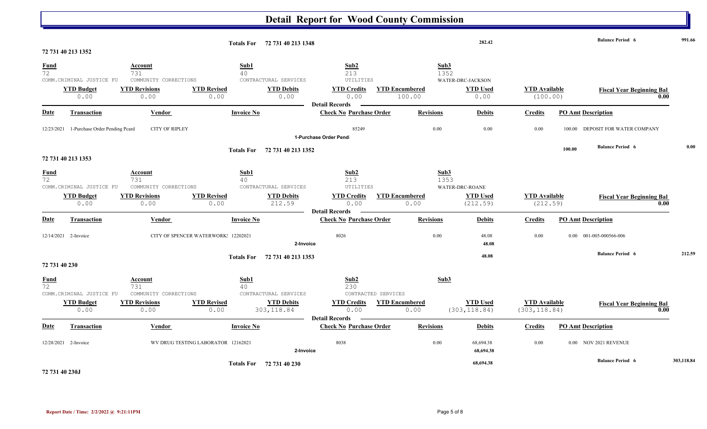#### **Detail Report for Wood County Commission 282.42 Balance Period 6 991.66 Totals For 72 731 40 213 1348 72 731 40 213 1352**  $72$  213  $731$   $40$  213  $213$  1352 **Fund Account Sub1 Sub2 Sub3** COMM.CRIMINAL JUSTICE FU COMMUNITY CORRECTIONS CONTRACTURAL SERVICES UTILITIES  $0.00$  0.00 0.00 0.00 0.00 0.00 0.00 100.00 0.00 0.00 0.00 0.00 0.00 0.00 **YTD Budget YTD Revisions YTD Revised YTD Debits YTD Credits YTD Encumbered YTD Used YTD Available Fiscal Year Beginning Bal 0.00** WATER-DRC-JACKSON **Date Vendor Invoice No Purchase Order Revisions Debits Credits PO Amt Description Detail Records Transaction Check No. 2.1 Involve Check No. 2.1 Involve No. 2.1 Apple 2.1 Apple 2.1 Apple 2.1 Apple 2.1 Apple 2.1 Apple 2.1 Apple 2.1 Apple 2.1 Apple 2.1 Apple 2.1 Apple 2.1 Apple 2.1 Apple 2.1 Apple 2.1 Apple 2.1 Apple** 12/23/2021 1-Purchase Order Pending Pcard CITY OF RIPLEY 85249 0.00 0.00 0.00 100.00 DEPOSIT FOR WATER COMPANY **1-Purchase Order Pend 100.00 Balance Period 6 0.00 Totals For 72 731 40 213 1352 72 731 40 213 1353**  $72$  213  $731$   $40$  213  $213$  1353 **Fund Account Sub1 Sub2 Sub3** COMM.CRIMINAL JUSTICE FU COMMUNITY CORRECTIONS CONTRACTURAL SERVICES UTILITIES  $0.00$   $0.00$   $0.00$   $212.59$   $0.00$   $0.00$   $(212.59)$   $(212.59)$ **YTD Budget YTD Revisions YTD Revised YTD Debits YTD Credits YTD Encumbered YTD Used YTD Available Fiscal Year Beginning Bal 0.00** WATER-DRC-ROANE **Date Vendor Invoice No Purchase Order Revisions Debits Credits PO Amt Description Detail Records Transaction Check No** 12/14/2021 2-Invoice CITY OF SPENCER WATERWORK: 12202021 8026 8026 0.00 48.08 0.00 001-005-000566-006 0.00 001-005-000566-006 **2-Invoice 48.08 48.08 Balance Period 6 212.59 Totals For 72 731 40 213 1353 72 731 40 230**  72 731 40 230 **Fund Account Sub1 Sub2 Sub3** COMM.CRIMINAL JUSTICE FU COMMUNITY CORRECTIONS CONTRACTURAL SERVICES CONTRACTED SERVICES 0.00 0.00 0.00 303,118.84 0.00 0.00 (303,118.84) (303,118.84) **YTD Budget YTD Revisions YTD Revised YTD Debits YTD Credits YTD Encumbered YTD Used YTD Available Fiscal Year Beginning Bal 0.00 Date Transaction Vendor Vendor Invoice No** *Check No Purchase Order* **<b>Revisions Debits Credits PO Amt Description Detail Records Transaction** 12/28/2021 2-Invoice **WV DRUG TESTING LABORATOR** 12162021 8038 8038 0.00 68,694.38 0.00 0.00 0.00 NOV 2021 REVENUE **2-Invoice 68,694.38 68,694.38 Balance Period 6 303,118.84 Totals For 72 731 40 230**

**72 731 40 230J**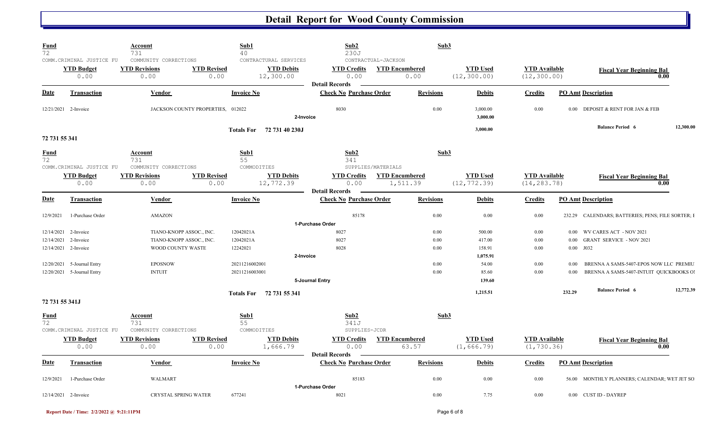| <b>Fund</b><br>72 | COMM. CRIMINAL JUSTICE FU                              | Account<br>731<br>COMMUNITY CORRECTIONS               |                                   | Sub1<br>40                | CONTRACTURAL SERVICES          | Sub2<br>230J<br>CONTRACTUAL-JACKSON                     |                                   | Sub3             |                                 |                                      |        |                                                   |           |
|-------------------|--------------------------------------------------------|-------------------------------------------------------|-----------------------------------|---------------------------|--------------------------------|---------------------------------------------------------|-----------------------------------|------------------|---------------------------------|--------------------------------------|--------|---------------------------------------------------|-----------|
|                   | <b>YTD Budget</b><br>0.00                              | <b>YTD Revisions</b><br>0.00                          | <b>YTD Revised</b><br>0.00        |                           | <b>YTD Debits</b><br>12,300.00 | <b>YTD Credits</b><br>0.00                              | <b>YTD Encumbered</b><br>0.00     |                  | <b>YTD Used</b><br>(12, 300.00) | <b>YTD Available</b><br>(12, 300.00) |        | <b>Fiscal Year Beginning Bal</b>                  | 0.00      |
| Date              | <b>Transaction</b>                                     | Vendor                                                |                                   | <b>Invoice No</b>         |                                | <b>Detail Records</b><br><b>Check No Purchase Order</b> |                                   | <b>Revisions</b> | <b>Debits</b>                   | <b>Credits</b>                       |        | <b>PO Amt Description</b>                         |           |
|                   | 12/21/2021 2-Invoice                                   |                                                       | JACKSON COUNTY PROPERTIES, 012022 |                           | 2-Invoice                      | 8030                                                    |                                   | 0.00             | 3,000.00<br>3.000.00            | 0.00                                 |        | 0.00 DEPOSIT & RENT FOR JAN & FEB                 |           |
| 72 731 55 341     |                                                        |                                                       |                                   | <b>Totals For</b>         | 72 731 40 230J                 |                                                         |                                   |                  | 3,000.00                        |                                      |        | <b>Balance Period 6</b>                           | 12,300.00 |
| <b>Fund</b><br>72 |                                                        | Account<br>731                                        |                                   | Sub1<br>55                |                                | Sub2<br>341                                             |                                   | Sub3             |                                 |                                      |        |                                                   |           |
|                   | COMM. CRIMINAL JUSTICE FU<br><b>YTD Budget</b><br>0.00 | COMMUNITY CORRECTIONS<br><b>YTD Revisions</b><br>0.00 | <b>YTD Revised</b><br>0.00        | COMMODITIES               | <b>YTD Debits</b><br>12,772.39 | SUPPLIES/MATERIALS<br><b>YTD Credits</b><br>0.00        | <b>YTD Encumbered</b><br>1,511.39 |                  | <b>YTD Used</b><br>(12, 772.39) | <b>YTD Available</b><br>(14, 283.78) |        | <b>Fiscal Year Beginning Bal</b>                  | 0.00      |
| <b>Date</b>       | <b>Transaction</b>                                     | Vendor                                                |                                   | <b>Invoice No</b>         |                                | <b>Detail Records</b><br><b>Check No Purchase Order</b> |                                   | <b>Revisions</b> | <b>Debits</b>                   | <b>Credits</b>                       |        | <b>PO Amt Description</b>                         |           |
| 12/9/2021         | 1-Purchase Order                                       | <b>AMAZON</b>                                         |                                   |                           |                                | 85178<br>1-Purchase Order                               |                                   | $0.00\,$         | 0.00                            | 0.00                                 |        | 232.29 CALENDARS; BATTERIES; PENS; FILE SORTER; I |           |
| 12/14/2021        | 2-Invoice                                              | TIANO-KNOPP ASSOC., INC.                              |                                   | 12042021A                 |                                | 8027                                                    |                                   | 0.00             | 500.00                          | $0.00\,$                             | 0.00   | WV CARES ACT - NOV 2021                           |           |
| 12/14/2021        | 2-Invoice                                              | TIANO-KNOPP ASSOC., INC.                              |                                   | 12042021A                 |                                | 8027                                                    |                                   | $0.00\,$         | 417.00                          | 0.00                                 | 0.00   | <b>GRANT SERVICE - NOV 2021</b>                   |           |
|                   | 12/14/2021 2-Invoice                                   | WOOD COUNTY WASTE                                     |                                   | 12242021                  |                                | 8028                                                    |                                   | 0.00             | 158.91                          | 0.00                                 | 0.00   | J032                                              |           |
|                   |                                                        |                                                       |                                   |                           | 2-Invoice                      |                                                         |                                   |                  | 1,075.91                        |                                      |        |                                                   |           |
| 12/20/2021        | 5-Journal Entry                                        | <b>EPOSNOW</b>                                        |                                   | 20211216002001            |                                |                                                         |                                   | 0.00             | 54.00                           | 0.00                                 | 0.00   | BRENNA A SAMS-5407-EPOS NOW LLC PREMIU            |           |
|                   | 12/20/2021 5-Journal Entry                             | <b>INTUIT</b>                                         |                                   | 20211216003001            |                                |                                                         |                                   | 0.00             | 85.60                           | 0.00                                 | 0.00   | BRENNA A SAMS-5407-INTUIT QUICKBOOKS O            |           |
|                   |                                                        |                                                       |                                   |                           |                                | 5-Journal Entry                                         |                                   |                  | 139.60                          |                                      |        |                                                   |           |
|                   |                                                        |                                                       |                                   |                           | Totals For 72 731 55 341       |                                                         |                                   |                  | 1,215.51                        |                                      | 232.29 | <b>Balance Period 6</b>                           | 12,772.39 |
| 72 731 55 341J    |                                                        |                                                       |                                   |                           |                                |                                                         |                                   |                  |                                 |                                      |        |                                                   |           |
| <u>Fund</u><br>72 | COMM.CRIMINAL JUSTICE FU                               | Account<br>731<br>COMMUNITY CORRECTIONS               |                                   | Sub1<br>55<br>COMMODITIES |                                | Sub2<br>341J<br>SUPPLIES-JCDR                           |                                   | Sub3             |                                 |                                      |        |                                                   |           |
|                   | <b>YTD Budget</b><br>0.00                              | <b>YTD Revisions</b><br>0.00                          | <b>YTD Revised</b><br>0.00        |                           | <b>YTD Debits</b><br>1,666.79  | <b>YTD Credits</b><br>0.00                              | <b>YTD Encumbered</b><br>63.57    |                  | <b>YTD Used</b><br>(1, 666.79)  | <b>YTD Available</b><br>(1, 730.36)  |        | <b>Fiscal Year Beginning Bal</b>                  | 0.00      |
|                   |                                                        |                                                       |                                   |                           |                                | <b>Detail Records</b>                                   |                                   |                  |                                 |                                      |        |                                                   |           |
| Date              | <b>Transaction</b>                                     | Vendor                                                |                                   | <b>Invoice No</b>         |                                | <b>Check No Purchase Order</b>                          |                                   | <b>Revisions</b> | <b>Debits</b>                   | <b>Credits</b>                       |        | <b>PO Amt Description</b>                         |           |
| 12/9/2021         | 1-Purchase Order                                       | <b>WALMART</b>                                        |                                   |                           |                                | 85183<br>1-Purchase Order                               |                                   | 0.00             | 0.00                            | 0.00                                 | 56.00  | MONTHLY PLANNERS; CALENDAR; WET JET SO            |           |
|                   | 12/14/2021 2-Invoice                                   | <b>CRYSTAL SPRING WATER</b>                           |                                   | 677241                    |                                | 8021                                                    |                                   | 0.00             | 7.75                            | 0.00                                 |        | 0.00 CUST ID - DAYREP                             |           |

**Report Date / Time: 2/2/2022 @ 9:21:11PM** Page 6 of 8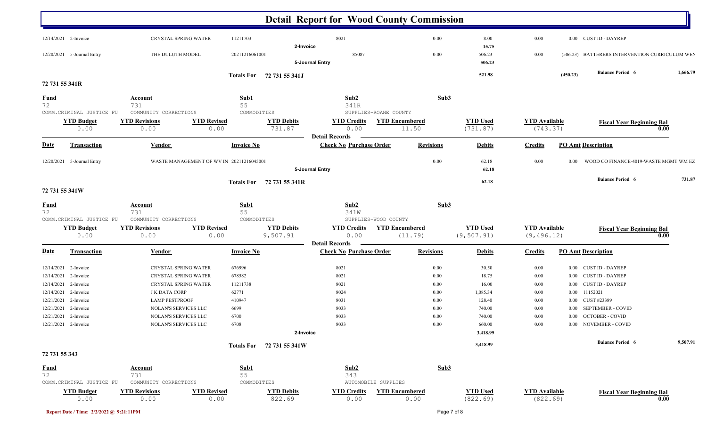|                                    |                                               |                                               |                                                        |                                                         | <b>Detail Report for Wood County Commission</b> |                  |                      |                                                |          |
|------------------------------------|-----------------------------------------------|-----------------------------------------------|--------------------------------------------------------|---------------------------------------------------------|-------------------------------------------------|------------------|----------------------|------------------------------------------------|----------|
| 12/14/2021 2-Invoice               |                                               | CRYSTAL SPRING WATER                          | 11211703                                               | 8021                                                    | 0.00                                            | 8.00             | 0.00                 | 0.00 CUST ID - DAYREP                          |          |
|                                    | 12/20/2021 5-Journal Entry                    | THE DULUTH MODEL                              | 20211216061001                                         | 2-Invoice<br>85087                                      | 0.00                                            | 15.75<br>506.23  | 0.00                 | (506.23) BATTERERS INTERVENTION CURRICULUM WEN |          |
|                                    |                                               |                                               |                                                        | 5-Journal Entry                                         |                                                 | 506.23           |                      |                                                |          |
|                                    |                                               |                                               | Totals For 72 731 55 341J                              |                                                         |                                                 | 521.98           |                      | <b>Balance Period 6</b><br>(450.23)            | 1,666.79 |
| 72 731 55 341R                     |                                               |                                               |                                                        |                                                         |                                                 |                  |                      |                                                |          |
| <b>Fund</b>                        |                                               | <b>Account</b>                                | Sub1                                                   | Sub2                                                    | Sub <sub>3</sub>                                |                  |                      |                                                |          |
| 72                                 | COMM.CRIMINAL JUSTICE FU                      | 731<br>COMMUNITY CORRECTIONS                  | 55<br>COMMODITIES                                      | 341R                                                    | SUPPLIES-ROANE COUNTY                           |                  |                      |                                                |          |
|                                    | <b>YTD Budget</b>                             | <b>YTD Revisions</b>                          | <b>YTD Revised</b><br><b>YTD Debits</b>                | <b>YTD Credits</b>                                      | <b>YTD Encumbered</b>                           | <b>YTD Used</b>  | <b>YTD Available</b> | <b>Fiscal Year Beginning Bal</b>               |          |
|                                    | 0.00                                          | 0.00                                          | 731.87<br>0.00                                         | 0.00                                                    | 11.50                                           | (731.87)         | (743.37)             |                                                | 0.00     |
| <b>Date</b>                        | <b>Transaction</b>                            | <b>Vendor</b>                                 | <b>Invoice No</b>                                      | <b>Detail Records</b><br><b>Check No Purchase Order</b> | <b>Revisions</b>                                | <b>Debits</b>    | <b>Credits</b>       | <b>PO Amt Description</b>                      |          |
| 12/20/2021                         | 5-Journal Entry                               |                                               | WASTE MANAGEMENT OF WV IN 20211216045001               |                                                         | 0.00                                            | 62.18            | 0.00                 | WOOD CO FINANCE-4019-WASTE MGMT WM EZ<br>0.00  |          |
|                                    |                                               |                                               |                                                        | 5-Journal Entry                                         |                                                 | 62.18            |                      |                                                |          |
|                                    |                                               |                                               | Totals For 72 731 55 341R                              |                                                         |                                                 | 62.18            |                      | <b>Balance Period 6</b>                        | 731.87   |
| 72 731 55 341W                     |                                               |                                               |                                                        |                                                         |                                                 |                  |                      |                                                |          |
| $\frac{Fund}{72}$                  |                                               | <b>Account</b>                                | $\frac{\text{Sub1}}{55}$                               | Sub2                                                    | Sub3                                            |                  |                      |                                                |          |
|                                    | COMM. CRIMINAL JUSTICE FU                     | 731<br>COMMUNITY CORRECTIONS                  | COMMODITIES                                            | 341W                                                    | SUPPLIES-WOOD COUNTY                            |                  |                      |                                                |          |
|                                    | <b>YTD Budget</b>                             | <b>YTD Revisions</b>                          | <b>YTD Debits</b><br><b>YTD Revised</b>                | <b>YTD Credits</b>                                      | <b>YTD Encumbered</b>                           | <b>YTD Used</b>  | <b>YTD Available</b> | <b>Fiscal Year Beginning Bal</b>               |          |
|                                    | 0.00                                          | 0.00                                          | 9,507.91<br>0.00                                       | 0.00                                                    | (11.79)                                         | (9, 507.91)      | (9, 496.12)          |                                                | 0.00     |
| <u>Date</u>                        | <b>Transaction</b>                            | <b>Vendor</b>                                 | <b>Invoice No</b>                                      | <b>Detail Records</b><br><b>Check No Purchase Order</b> | <b>Revisions</b>                                | <b>Debits</b>    | <b>Credits</b>       | <b>PO Amt Description</b>                      |          |
| 12/14/2021                         | 2-Invoice                                     | CRYSTAL SPRING WATER                          | 676996                                                 | 8021                                                    | $0.00\,$                                        | 30.50            | 0.00                 | 0.00 CUST ID - DAYREP                          |          |
| 12/14/2021                         | 2-Invoice                                     | CRYSTAL SPRING WATER                          | 678582                                                 | 8021                                                    | 0.00                                            | 18.75            | 0.00                 | 0.00 CUST ID - DAYREP                          |          |
| 12/14/2021                         | 2-Invoice                                     | CRYSTAL SPRING WATER                          | 11211738                                               | 8021                                                    | $0.00\,$                                        | 16.00            | 0.00                 | <b>CUST ID - DAYREP</b><br>0.00                |          |
| 12/14/2021                         | 2-Invoice                                     | <b>J K DATA CORP</b>                          | 62771                                                  | 8024                                                    | $0.00\,$                                        | 1,085.34         | 0.00                 | 11152021<br>$0.00\,$                           |          |
| 12/21/2021                         | 2-Invoice                                     | <b>LAMP PESTPROOF</b>                         | 410947                                                 | 8031                                                    | $0.00\,$                                        | 128.40           | 0.00                 | CUST #23389<br>0.00                            |          |
| 12/21/2021<br>12/21/2021 2-Invoice | 2-Invoice                                     | NOLAN'S SERVICES LLC<br>NOLAN'S SERVICES LLC  | 6699<br>6700                                           | 8033<br>8033                                            | $0.00\,$<br>$0.00\,$                            | 740.00<br>740.00 | 0.00<br>0.00         | 0.00 SEPTEMBER - COVID<br>0.00 OCTOBER - COVID |          |
| 12/21/2021 2-Invoice               |                                               | NOLAN'S SERVICES LLC                          | 6708                                                   | 8033                                                    | $0.00\,$                                        | 660.00           | 0.00                 | 0.00 NOVEMBER - COVID                          |          |
|                                    |                                               |                                               |                                                        | 2-Invoice                                               |                                                 | 3,418.99         |                      |                                                |          |
|                                    |                                               |                                               | Totals For 72 731 55 341W                              |                                                         |                                                 | 3,418.99         |                      | <b>Balance Period 6</b>                        | 9,507.91 |
| 72 731 55 343                      |                                               |                                               |                                                        |                                                         |                                                 |                  |                      |                                                |          |
| <b>Fund</b>                        |                                               | <b>Account</b>                                | Sub1                                                   | Sub2                                                    | Sub3                                            |                  |                      |                                                |          |
| 72                                 |                                               | 731                                           | 55                                                     | 343                                                     |                                                 |                  |                      |                                                |          |
|                                    | COMM.CRIMINAL JUSTICE FU<br><b>YTD Budget</b> | COMMUNITY CORRECTIONS<br><b>YTD Revisions</b> | COMMODITIES<br><b>YTD Debits</b><br><b>YTD Revised</b> | <b>YTD Credits</b>                                      | AUTOMOBILE SUPPLIES<br><b>YTD Encumbered</b>    | <b>YTD Used</b>  | <b>YTD Available</b> |                                                |          |
|                                    | 0.00                                          | 0.00                                          | 822.69<br>0.00                                         | 0.00                                                    | 0.00                                            | (822.69)         | (822.69)             | <b>Fiscal Year Beginning Bal</b>               | 0.00     |
|                                    |                                               |                                               |                                                        |                                                         |                                                 |                  |                      |                                                |          |